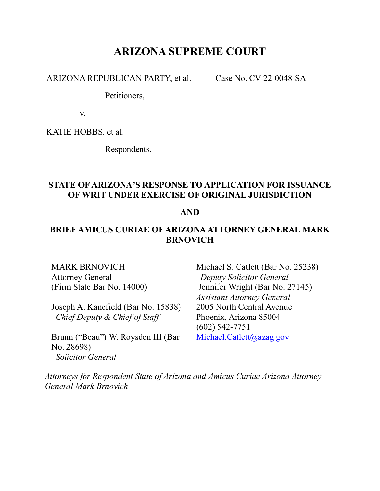# **ARIZONA SUPREME COURT**

ARIZONA REPUBLICAN PARTY, et al.

Case No. CV-22-0048-SA

Petitioners,

v.

KATIE HOBBS, et al.

Respondents.

## **STATE OF ARIZONA'S RESPONSE TO APPLICATION FOR ISSUANCE OF WRIT UNDER EXERCISE OF ORIGINAL JURISDICTION**

### **AND**

# **BRIEF AMICUS CURIAE OF ARIZONA ATTORNEY GENERAL MARK BRNOVICH**

MARK BRNOVICH Attorney General (Firm State Bar No. 14000)

Joseph A. Kanefield (Bar No. 15838)  *Chief Deputy & Chief of Staff*

Brunn ("Beau") W. Roysden III (Bar No. 28698) *Solicitor General*

Michael S. Catlett (Bar No. 25238) *Deputy Solicitor General* Jennifer Wright (Bar No. 27145) *Assistant Attorney General* 2005 North Central Avenue Phoenix, Arizona 85004 (602) 542-7751 [Michael.Catlett@azag.gov](mailto:Michael.Catlett@azag.gov)

*Attorneys for Respondent State of Arizona and Amicus Curiae Arizona Attorney General Mark Brnovich*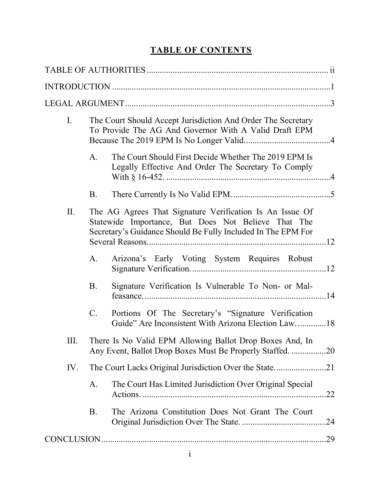# **TABLE OF CONTENTS**

| I.  |                                                                                                                       | The Court Should Accept Jurisdiction And Order The Secretary<br>To Provide The AG And Governor With A Valid Draft EPM                                                           |  |  |
|-----|-----------------------------------------------------------------------------------------------------------------------|---------------------------------------------------------------------------------------------------------------------------------------------------------------------------------|--|--|
|     | A.                                                                                                                    | The Court Should First Decide Whether The 2019 EPM Is<br>Legally Effective And Order The Secretary To Comply                                                                    |  |  |
|     | B.                                                                                                                    |                                                                                                                                                                                 |  |  |
| II. |                                                                                                                       | The AG Agrees That Signature Verification Is An Issue Of<br>Statewide Importance, But Does Not Believe That The<br>Secretary's Guidance Should Be Fully Included In The EPM For |  |  |
|     | A.                                                                                                                    | Arizona's Early Voting System Requires Robust                                                                                                                                   |  |  |
|     | <b>B.</b>                                                                                                             | Signature Verification Is Vulnerable To Non- or Mal-                                                                                                                            |  |  |
|     | C.                                                                                                                    | Portions Of The Secretary's "Signature Verification<br>Guide" Are Inconsistent With Arizona Election Law18                                                                      |  |  |
| Ш.  | There Is No Valid EPM Allowing Ballot Drop Boxes And, In<br>Any Event, Ballot Drop Boxes Must Be Properly Staffed. 20 |                                                                                                                                                                                 |  |  |
| IV. |                                                                                                                       |                                                                                                                                                                                 |  |  |
|     | A.                                                                                                                    | The Court Has Limited Jurisdiction Over Original Special<br>.22                                                                                                                 |  |  |
|     | <b>B.</b>                                                                                                             | The Arizona Constitution Does Not Grant The Court<br>.24                                                                                                                        |  |  |
| .29 |                                                                                                                       |                                                                                                                                                                                 |  |  |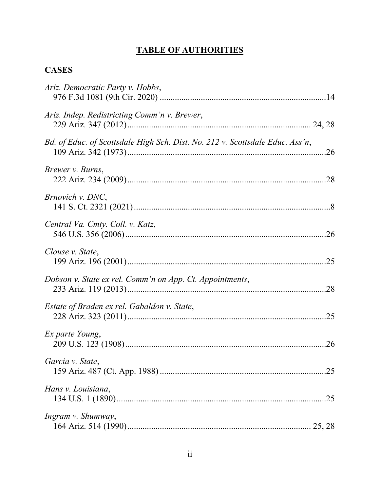# **TABLE OF AUTHORITIES**

# **CASES**

| Ariz. Democratic Party v. Hobbs,                                              |
|-------------------------------------------------------------------------------|
| Ariz. Indep. Redistricting Comm'n v. Brewer,                                  |
| Bd. of Educ. of Scottsdale High Sch. Dist. No. 212 v. Scottsdale Educ. Ass'n, |
| Brewer v. Burns,                                                              |
| <i>Brnovich v. DNC</i> ,                                                      |
| Central Va. Cmty. Coll. v. Katz,                                              |
| Clouse v. State,                                                              |
| Dobson v. State ex rel. Comm'n on App. Ct. Appointments,                      |
| Estate of Braden ex rel. Gabaldon v. State,                                   |
| Ex parte Young,                                                               |
| Garcia v. State,                                                              |
| Hans v. Louisiana,                                                            |
| Ingram v. Shumway,                                                            |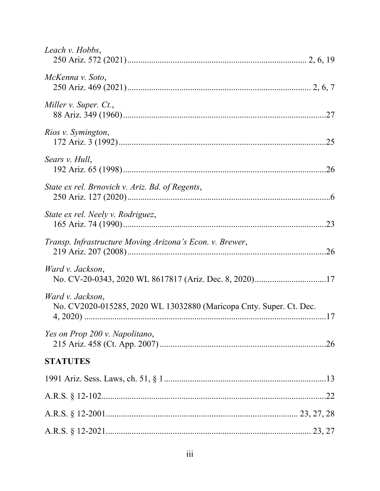| Leach v. Hobbs,                                                                         |
|-----------------------------------------------------------------------------------------|
| McKenna v. Soto,                                                                        |
| Miller v. Super. Ct.,                                                                   |
| Rios v. Symington,                                                                      |
| Sears v. Hull,                                                                          |
| State ex rel. Brnovich v. Ariz. Bd. of Regents,                                         |
| State ex rel. Neely v. Rodriguez,                                                       |
| Transp. Infrastructure Moving Arizona's Econ. v. Brewer,                                |
| Ward v. Jackson,                                                                        |
| Ward v. Jackson,<br>No. CV2020-015285, 2020 WL 13032880 (Maricopa Cnty. Super. Ct. Dec. |
| Yes on Prop 200 v. Napolitano,                                                          |
| <b>STATUTES</b>                                                                         |
|                                                                                         |
|                                                                                         |
|                                                                                         |
|                                                                                         |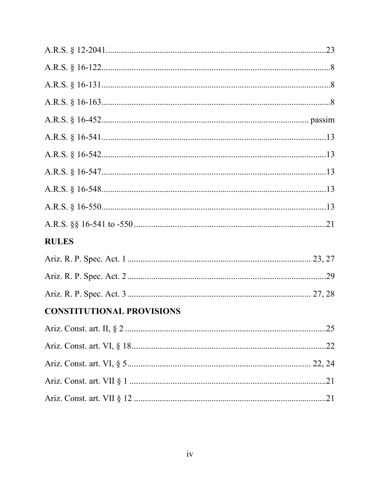| <b>RULES</b>                     |  |
|----------------------------------|--|
|                                  |  |
|                                  |  |
|                                  |  |
| <b>CONSTITUTIONAL PROVISIONS</b> |  |
|                                  |  |
|                                  |  |
|                                  |  |
|                                  |  |
|                                  |  |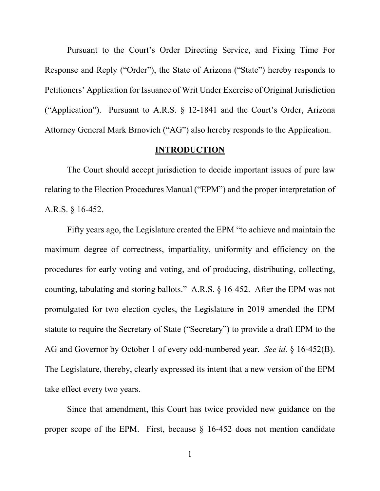Pursuant to the Court's Order Directing Service, and Fixing Time For Response and Reply ("Order"), the State of Arizona ("State") hereby responds to Petitioners' Application for Issuance of Writ Under Exercise of Original Jurisdiction ("Application"). Pursuant to A.R.S. § 12-1841 and the Court's Order, Arizona Attorney General Mark Brnovich ("AG") also hereby responds to the Application.

#### **INTRODUCTION**

The Court should accept jurisdiction to decide important issues of pure law relating to the Election Procedures Manual ("EPM") and the proper interpretation of A.R.S. § 16-452.

Fifty years ago, the Legislature created the EPM "to achieve and maintain the maximum degree of correctness, impartiality, uniformity and efficiency on the procedures for early voting and voting, and of producing, distributing, collecting, counting, tabulating and storing ballots." A.R.S. § 16-452. After the EPM was not promulgated for two election cycles, the Legislature in 2019 amended the EPM statute to require the Secretary of State ("Secretary") to provide a draft EPM to the AG and Governor by October 1 of every odd-numbered year. *See id.* § 16-452(B). The Legislature, thereby, clearly expressed its intent that a new version of the EPM take effect every two years.

Since that amendment, this Court has twice provided new guidance on the proper scope of the EPM. First, because § 16-452 does not mention candidate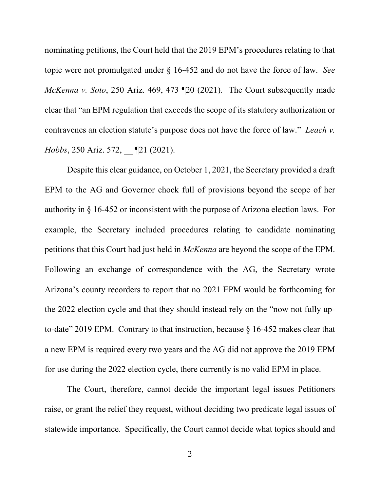nominating petitions, the Court held that the 2019 EPM's procedures relating to that topic were not promulgated under § 16-452 and do not have the force of law. *See McKenna v. Soto*, 250 Ariz. 469, 473 ¶20 (2021). The Court subsequently made clear that "an EPM regulation that exceeds the scope of its statutory authorization or contravenes an election statute's purpose does not have the force of law." *Leach v. Hobbs*, 250 Ariz. 572, [21 (2021).

Despite this clear guidance, on October 1, 2021, the Secretary provided a draft EPM to the AG and Governor chock full of provisions beyond the scope of her authority in § 16-452 or inconsistent with the purpose of Arizona election laws. For example, the Secretary included procedures relating to candidate nominating petitions that this Court had just held in *McKenna* are beyond the scope of the EPM. Following an exchange of correspondence with the AG, the Secretary wrote Arizona's county recorders to report that no 2021 EPM would be forthcoming for the 2022 election cycle and that they should instead rely on the "now not fully upto-date" 2019 EPM. Contrary to that instruction, because  $\S$  16-452 makes clear that a new EPM is required every two years and the AG did not approve the 2019 EPM for use during the 2022 election cycle, there currently is no valid EPM in place.

The Court, therefore, cannot decide the important legal issues Petitioners raise, or grant the relief they request, without deciding two predicate legal issues of statewide importance. Specifically, the Court cannot decide what topics should and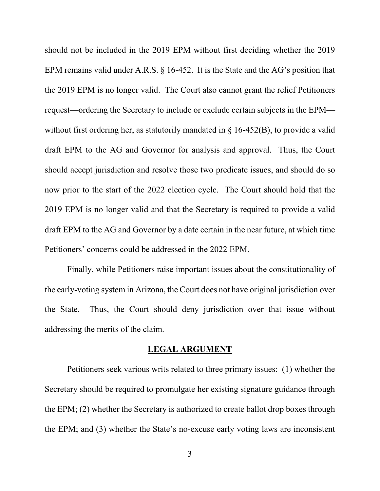should not be included in the 2019 EPM without first deciding whether the 2019 EPM remains valid under A.R.S. § 16-452. It is the State and the AG's position that the 2019 EPM is no longer valid. The Court also cannot grant the relief Petitioners request—ordering the Secretary to include or exclude certain subjects in the EPM without first ordering her, as statutorily mandated in  $\S$  16-452(B), to provide a valid draft EPM to the AG and Governor for analysis and approval. Thus, the Court should accept jurisdiction and resolve those two predicate issues, and should do so now prior to the start of the 2022 election cycle. The Court should hold that the 2019 EPM is no longer valid and that the Secretary is required to provide a valid draft EPM to the AG and Governor by a date certain in the near future, at which time Petitioners' concerns could be addressed in the 2022 EPM.

Finally, while Petitioners raise important issues about the constitutionality of the early-voting system in Arizona, the Court does not have original jurisdiction over the State. Thus, the Court should deny jurisdiction over that issue without addressing the merits of the claim.

#### **LEGAL ARGUMENT**

Petitioners seek various writs related to three primary issues: (1) whether the Secretary should be required to promulgate her existing signature guidance through the EPM; (2) whether the Secretary is authorized to create ballot drop boxes through the EPM; and (3) whether the State's no-excuse early voting laws are inconsistent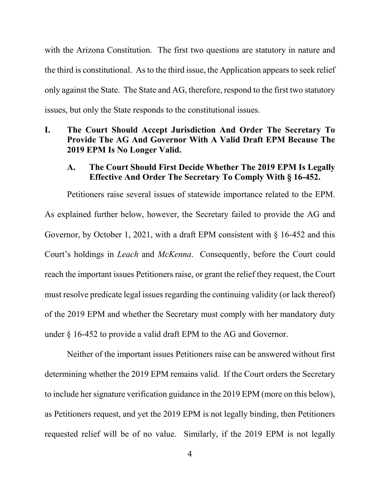with the Arizona Constitution. The first two questions are statutory in nature and the third is constitutional. As to the third issue, the Application appears to seek relief only against the State. The State and AG, therefore, respond to the first two statutory issues, but only the State responds to the constitutional issues.

### **I. The Court Should Accept Jurisdiction And Order The Secretary To Provide The AG And Governor With A Valid Draft EPM Because The 2019 EPM Is No Longer Valid.**

#### **A. The Court Should First Decide Whether The 2019 EPM Is Legally Effective And Order The Secretary To Comply With § 16-452.**

Petitioners raise several issues of statewide importance related to the EPM. As explained further below, however, the Secretary failed to provide the AG and Governor, by October 1, 2021, with a draft EPM consistent with § 16-452 and this Court's holdings in *Leach* and *McKenna*. Consequently, before the Court could reach the important issues Petitioners raise, or grant the relief they request, the Court must resolve predicate legal issues regarding the continuing validity (or lack thereof) of the 2019 EPM and whether the Secretary must comply with her mandatory duty under § 16-452 to provide a valid draft EPM to the AG and Governor.

Neither of the important issues Petitioners raise can be answered without first determining whether the 2019 EPM remains valid. If the Court orders the Secretary to include her signature verification guidance in the 2019 EPM (more on this below), as Petitioners request, and yet the 2019 EPM is not legally binding, then Petitioners requested relief will be of no value. Similarly, if the 2019 EPM is not legally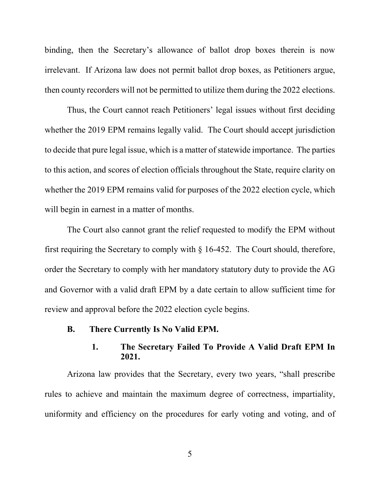binding, then the Secretary's allowance of ballot drop boxes therein is now irrelevant. If Arizona law does not permit ballot drop boxes, as Petitioners argue, then county recorders will not be permitted to utilize them during the 2022 elections.

Thus, the Court cannot reach Petitioners' legal issues without first deciding whether the 2019 EPM remains legally valid. The Court should accept jurisdiction to decide that pure legal issue, which is a matter of statewide importance. The parties to this action, and scores of election officials throughout the State, require clarity on whether the 2019 EPM remains valid for purposes of the 2022 election cycle, which will begin in earnest in a matter of months.

The Court also cannot grant the relief requested to modify the EPM without first requiring the Secretary to comply with § 16-452. The Court should, therefore, order the Secretary to comply with her mandatory statutory duty to provide the AG and Governor with a valid draft EPM by a date certain to allow sufficient time for review and approval before the 2022 election cycle begins.

**B. There Currently Is No Valid EPM.**

## **1. The Secretary Failed To Provide A Valid Draft EPM In 2021.**

Arizona law provides that the Secretary, every two years, "shall prescribe rules to achieve and maintain the maximum degree of correctness, impartiality, uniformity and efficiency on the procedures for early voting and voting, and of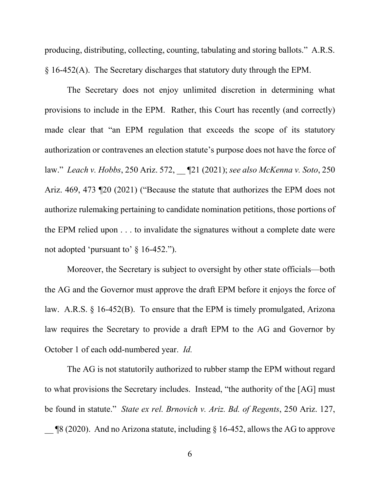producing, distributing, collecting, counting, tabulating and storing ballots." A.R.S. § 16-452(A). The Secretary discharges that statutory duty through the EPM.

The Secretary does not enjoy unlimited discretion in determining what provisions to include in the EPM. Rather, this Court has recently (and correctly) made clear that "an EPM regulation that exceeds the scope of its statutory authorization or contravenes an election statute's purpose does not have the force of law." *Leach v. Hobbs*, 250 Ariz. 572, \_\_ ¶21 (2021); *see also McKenna v. Soto*, 250 Ariz. 469, 473 ¶20 (2021) ("Because the statute that authorizes the EPM does not authorize rulemaking pertaining to candidate nomination petitions, those portions of the EPM relied upon . . . to invalidate the signatures without a complete date were not adopted 'pursuant to' § 16-452.").

Moreover, the Secretary is subject to oversight by other state officials—both the AG and the Governor must approve the draft EPM before it enjoys the force of law. A.R.S. § 16-452(B). To ensure that the EPM is timely promulgated, Arizona law requires the Secretary to provide a draft EPM to the AG and Governor by October 1 of each odd-numbered year. *Id.*

The AG is not statutorily authorized to rubber stamp the EPM without regard to what provisions the Secretary includes. Instead, "the authority of the [AG] must be found in statute." *State ex rel. Brnovich v. Ariz. Bd. of Regents*, 250 Ariz. 127,  $\frac{18}{2020}$ . And no Arizona statute, including § 16-452, allows the AG to approve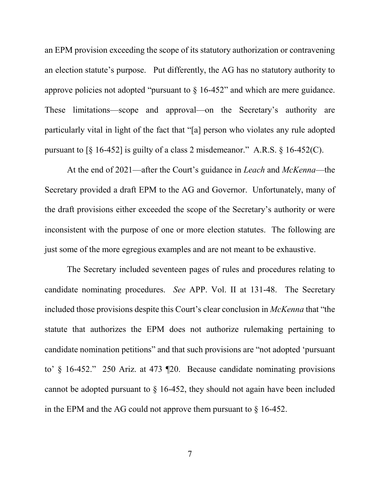an EPM provision exceeding the scope of its statutory authorization or contravening an election statute's purpose. Put differently, the AG has no statutory authority to approve policies not adopted "pursuant to  $\S$  16-452" and which are mere guidance. These limitations—scope and approval—on the Secretary's authority are particularly vital in light of the fact that "[a] person who violates any rule adopted pursuant to  $\lceil \S 16 - 452 \rceil$  is guilty of a class 2 misdemeanor." A.R.S.  $\S 16 - 452(C)$ .

At the end of 2021—after the Court's guidance in *Leach* and *McKenna*—the Secretary provided a draft EPM to the AG and Governor. Unfortunately, many of the draft provisions either exceeded the scope of the Secretary's authority or were inconsistent with the purpose of one or more election statutes. The following are just some of the more egregious examples and are not meant to be exhaustive.

The Secretary included seventeen pages of rules and procedures relating to candidate nominating procedures. *See* APP. Vol. II at 131-48. The Secretary included those provisions despite this Court's clear conclusion in *McKenna* that "the statute that authorizes the EPM does not authorize rulemaking pertaining to candidate nomination petitions" and that such provisions are "not adopted 'pursuant to' § 16-452." 250 Ariz. at 473 ¶20. Because candidate nominating provisions cannot be adopted pursuant to § 16-452, they should not again have been included in the EPM and the AG could not approve them pursuant to  $\S$  16-452.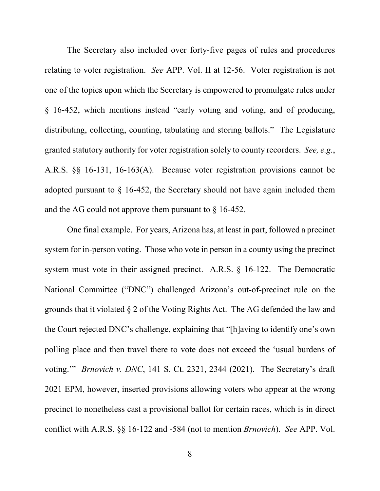The Secretary also included over forty-five pages of rules and procedures relating to voter registration. *See* APP. Vol. II at 12-56. Voter registration is not one of the topics upon which the Secretary is empowered to promulgate rules under § 16-452, which mentions instead "early voting and voting, and of producing, distributing, collecting, counting, tabulating and storing ballots." The Legislature granted statutory authority for voter registration solely to county recorders. *See, e.g.*, A.R.S. §§ 16-131, 16-163(A). Because voter registration provisions cannot be adopted pursuant to  $\S$  16-452, the Secretary should not have again included them and the AG could not approve them pursuant to § 16-452.

One final example. For years, Arizona has, at least in part, followed a precinct system for in-person voting. Those who vote in person in a county using the precinct system must vote in their assigned precinct. A.R.S. § 16-122. The Democratic National Committee ("DNC") challenged Arizona's out-of-precinct rule on the grounds that it violated § 2 of the Voting Rights Act. The AG defended the law and the Court rejected DNC's challenge, explaining that "[h]aving to identify one's own polling place and then travel there to vote does not exceed the 'usual burdens of voting.'" *Brnovich v. DNC*, 141 S. Ct. 2321, 2344 (2021). The Secretary's draft 2021 EPM, however, inserted provisions allowing voters who appear at the wrong precinct to nonetheless cast a provisional ballot for certain races, which is in direct conflict with A.R.S. §§ 16-122 and -584 (not to mention *Brnovich*). *See* APP. Vol.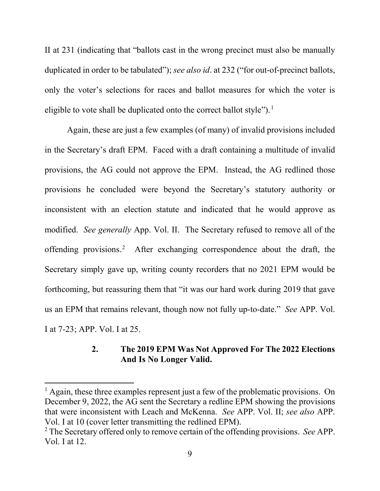II at 231 (indicating that "ballots cast in the wrong precinct must also be manually duplicated in order to be tabulated"); *see also id*. at 232 ("for out-of-precinct ballots, only the voter's selections for races and ballot measures for which the voter is eligible to vote shall be duplicated onto the correct ballot style").<sup>1</sup>

Again, these are just a few examples (of many) of invalid provisions included in the Secretary's draft EPM. Faced with a draft containing a multitude of invalid provisions, the AG could not approve the EPM. Instead, the AG redlined those provisions he concluded were beyond the Secretary's statutory authority or inconsistent with an election statute and indicated that he would approve as modified. *See generally* App. Vol. II. The Secretary refused to remove all of the offending provisions.<sup>2</sup> After exchanging correspondence about the draft, the Secretary simply gave up, writing county recorders that no 2021 EPM would be forthcoming, but reassuring them that "it was our hard work during 2019 that gave us an EPM that remains relevant, though now not fully up-to-date." *See* APP. Vol. I at 7-23; APP. Vol. I at 25.

# **2. The 2019 EPM Was Not Approved For The 2022 Elections And Is No Longer Valid.**

<sup>&</sup>lt;sup>1</sup> Again, these three examples represent just a few of the problematic provisions. On December 9, 2022, the AG sent the Secretary a redline EPM showing the provisions that were inconsistent with Leach and McKenna. *See* APP. Vol. II; *see also* APP. Vol. I at 10 (cover letter transmitting the redlined EPM).

<sup>2</sup> The Secretary offered only to remove certain of the offending provisions. *See* APP. Vol. I at 12.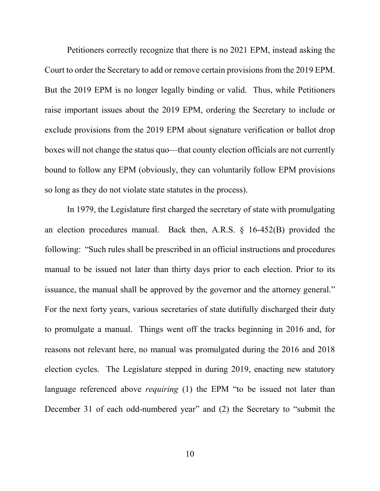Petitioners correctly recognize that there is no 2021 EPM, instead asking the Court to order the Secretary to add or remove certain provisions from the 2019 EPM. But the 2019 EPM is no longer legally binding or valid. Thus, while Petitioners raise important issues about the 2019 EPM, ordering the Secretary to include or exclude provisions from the 2019 EPM about signature verification or ballot drop boxes will not change the status quo—that county election officials are not currently bound to follow any EPM (obviously, they can voluntarily follow EPM provisions so long as they do not violate state statutes in the process).

In 1979, the Legislature first charged the secretary of state with promulgating an election procedures manual. Back then, A.R.S. § 16-452(B) provided the following: "Such rules shall be prescribed in an official instructions and procedures manual to be issued not later than thirty days prior to each election. Prior to its issuance, the manual shall be approved by the governor and the attorney general." For the next forty years, various secretaries of state dutifully discharged their duty to promulgate a manual. Things went off the tracks beginning in 2016 and, for reasons not relevant here, no manual was promulgated during the 2016 and 2018 election cycles. The Legislature stepped in during 2019, enacting new statutory language referenced above *requiring* (1) the EPM "to be issued not later than December 31 of each odd-numbered year" and (2) the Secretary to "submit the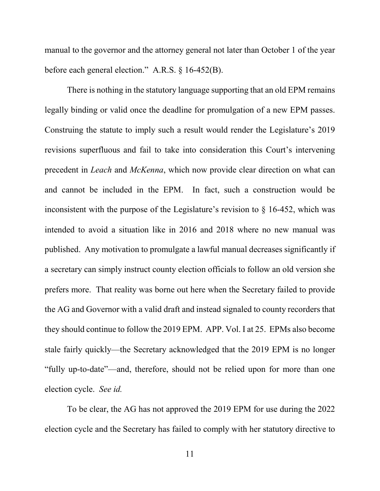manual to the governor and the attorney general not later than October 1 of the year before each general election." A.R.S. § 16-452(B).

There is nothing in the statutory language supporting that an old EPM remains legally binding or valid once the deadline for promulgation of a new EPM passes. Construing the statute to imply such a result would render the Legislature's 2019 revisions superfluous and fail to take into consideration this Court's intervening precedent in *Leach* and *McKenna*, which now provide clear direction on what can and cannot be included in the EPM. In fact, such a construction would be inconsistent with the purpose of the Legislature's revision to § 16-452, which was intended to avoid a situation like in 2016 and 2018 where no new manual was published. Any motivation to promulgate a lawful manual decreases significantly if a secretary can simply instruct county election officials to follow an old version she prefers more. That reality was borne out here when the Secretary failed to provide the AG and Governor with a valid draft and instead signaled to county recorders that they should continue to follow the 2019 EPM. APP. Vol. I at 25. EPMs also become stale fairly quickly—the Secretary acknowledged that the 2019 EPM is no longer "fully up-to-date"—and, therefore, should not be relied upon for more than one election cycle. *See id.*

To be clear, the AG has not approved the 2019 EPM for use during the 2022 election cycle and the Secretary has failed to comply with her statutory directive to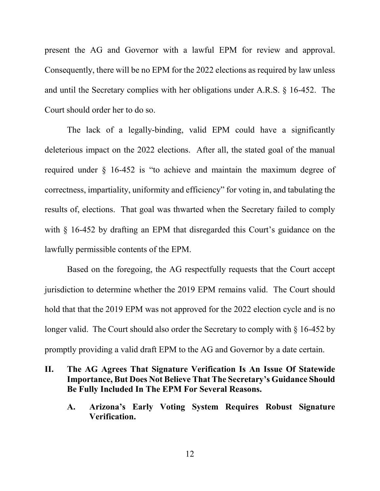present the AG and Governor with a lawful EPM for review and approval. Consequently, there will be no EPM for the 2022 elections as required by law unless and until the Secretary complies with her obligations under A.R.S. § 16-452. The Court should order her to do so.

The lack of a legally-binding, valid EPM could have a significantly deleterious impact on the 2022 elections. After all, the stated goal of the manual required under § 16-452 is "to achieve and maintain the maximum degree of correctness, impartiality, uniformity and efficiency" for voting in, and tabulating the results of, elections. That goal was thwarted when the Secretary failed to comply with § 16-452 by drafting an EPM that disregarded this Court's guidance on the lawfully permissible contents of the EPM.

Based on the foregoing, the AG respectfully requests that the Court accept jurisdiction to determine whether the 2019 EPM remains valid. The Court should hold that that the 2019 EPM was not approved for the 2022 election cycle and is no longer valid. The Court should also order the Secretary to comply with § 16-452 by promptly providing a valid draft EPM to the AG and Governor by a date certain.

## **II. The AG Agrees That Signature Verification Is An Issue Of Statewide Importance, But Does Not Believe That The Secretary's Guidance Should Be Fully Included In The EPM For Several Reasons.**

**A. Arizona's Early Voting System Requires Robust Signature Verification.**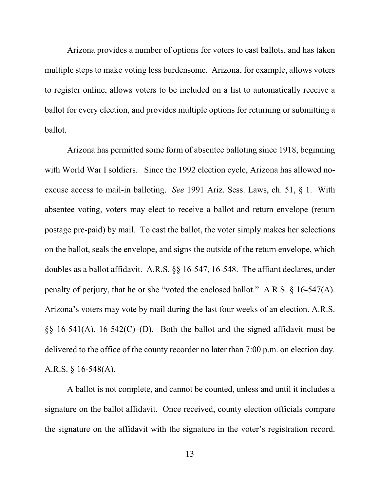Arizona provides a number of options for voters to cast ballots, and has taken multiple steps to make voting less burdensome. Arizona, for example, allows voters to register online, allows voters to be included on a list to automatically receive a ballot for every election, and provides multiple options for returning or submitting a ballot.

Arizona has permitted some form of absentee balloting since 1918, beginning with World War I soldiers. Since the 1992 election cycle, Arizona has allowed noexcuse access to mail-in balloting. *See* 1991 Ariz. Sess. Laws, ch. 51, § 1. With absentee voting, voters may elect to receive a ballot and return envelope (return postage pre-paid) by mail. To cast the ballot, the voter simply makes her selections on the ballot, seals the envelope, and signs the outside of the return envelope, which doubles as a ballot affidavit. A.R.S. §§ 16-547, 16-548. The affiant declares, under penalty of perjury, that he or she "voted the enclosed ballot." A.R.S. § 16-547(A). Arizona's voters may vote by mail during the last four weeks of an election. A.R.S.  $\S$ § 16-541(A), 16-542(C)–(D). Both the ballot and the signed affidavit must be delivered to the office of the county recorder no later than 7:00 p.m. on election day. A.R.S. § 16-548(A).

A ballot is not complete, and cannot be counted, unless and until it includes a signature on the ballot affidavit. Once received, county election officials compare the signature on the affidavit with the signature in the voter's registration record.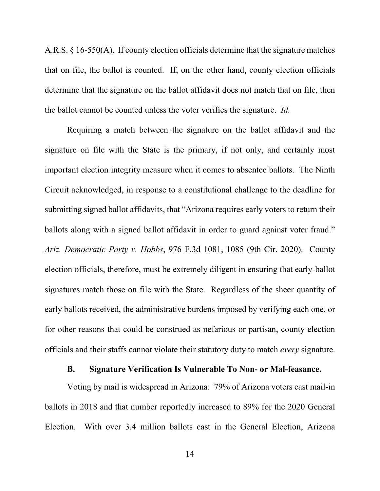A.R.S. § 16-550(A). If county election officials determine that the signature matches that on file, the ballot is counted. If, on the other hand, county election officials determine that the signature on the ballot affidavit does not match that on file, then the ballot cannot be counted unless the voter verifies the signature. *Id.*

Requiring a match between the signature on the ballot affidavit and the signature on file with the State is the primary, if not only, and certainly most important election integrity measure when it comes to absentee ballots. The Ninth Circuit acknowledged, in response to a constitutional challenge to the deadline for submitting signed ballot affidavits, that "Arizona requires early voters to return their ballots along with a signed ballot affidavit in order to guard against voter fraud." *Ariz. Democratic Party v. Hobbs*, 976 F.3d 1081, 1085 (9th Cir. 2020). County election officials, therefore, must be extremely diligent in ensuring that early-ballot signatures match those on file with the State. Regardless of the sheer quantity of early ballots received, the administrative burdens imposed by verifying each one, or for other reasons that could be construed as nefarious or partisan, county election officials and their staffs cannot violate their statutory duty to match *every* signature.

#### **B. Signature Verification Is Vulnerable To Non- or Mal-feasance.**

Voting by mail is widespread in Arizona: 79% of Arizona voters cast mail-in ballots in 2018 and that number reportedly increased to 89% for the 2020 General Election. With over 3.4 million ballots cast in the General Election, Arizona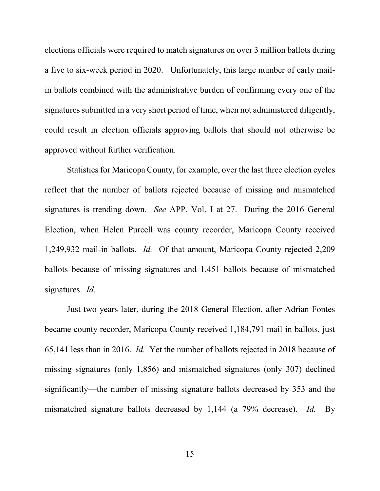elections officials were required to match signatures on over 3 million ballots during a five to six-week period in 2020. Unfortunately, this large number of early mailin ballots combined with the administrative burden of confirming every one of the signatures submitted in a very short period of time, when not administered diligently, could result in election officials approving ballots that should not otherwise be approved without further verification.

Statistics for Maricopa County, for example, over the last three election cycles reflect that the number of ballots rejected because of missing and mismatched signatures is trending down. *See* APP. Vol. I at 27. During the 2016 General Election, when Helen Purcell was county recorder, Maricopa County received 1,249,932 mail-in ballots. *Id.* Of that amount, Maricopa County rejected 2,209 ballots because of missing signatures and 1,451 ballots because of mismatched signatures. *Id.*

Just two years later, during the 2018 General Election, after Adrian Fontes became county recorder, Maricopa County received 1,184,791 mail-in ballots, just 65,141 less than in 2016. *Id.* Yet the number of ballots rejected in 2018 because of missing signatures (only 1,856) and mismatched signatures (only 307) declined significantly—the number of missing signature ballots decreased by 353 and the mismatched signature ballots decreased by 1,144 (a 79% decrease). *Id.* By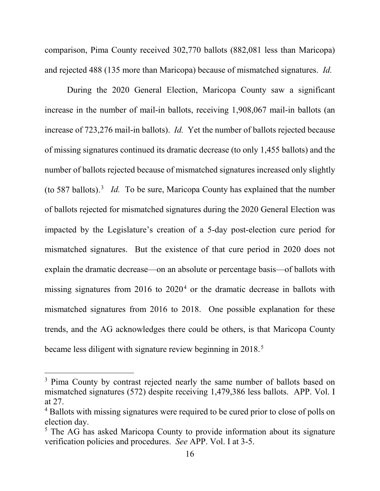comparison, Pima County received 302,770 ballots (882,081 less than Maricopa) and rejected 488 (135 more than Maricopa) because of mismatched signatures. *Id.*

During the 2020 General Election, Maricopa County saw a significant increase in the number of mail-in ballots, receiving 1,908,067 mail-in ballots (an increase of 723,276 mail-in ballots). *Id.* Yet the number of ballots rejected because of missing signatures continued its dramatic decrease (to only 1,455 ballots) and the number of ballots rejected because of mismatched signatures increased only slightly (to 587 ballots).<sup>3</sup> *Id.* To be sure, Maricopa County has explained that the number of ballots rejected for mismatched signatures during the 2020 General Election was impacted by the Legislature's creation of a 5-day post-election cure period for mismatched signatures. But the existence of that cure period in 2020 does not explain the dramatic decrease—on an absolute or percentage basis—of ballots with missing signatures from  $2016$  to  $2020<sup>4</sup>$  or the dramatic decrease in ballots with mismatched signatures from 2016 to 2018. One possible explanation for these trends, and the AG acknowledges there could be others, is that Maricopa County became less diligent with signature review beginning in 2018.<sup>5</sup>

<sup>&</sup>lt;sup>3</sup> Pima County by contrast rejected nearly the same number of ballots based on mismatched signatures (572) despite receiving 1,479,386 less ballots. APP. Vol. I at 27.

<sup>&</sup>lt;sup>4</sup> Ballots with missing signatures were required to be cured prior to close of polls on election day.

<sup>&</sup>lt;sup>5</sup> The AG has asked Maricopa County to provide information about its signature verification policies and procedures. *See* APP. Vol. I at 3-5.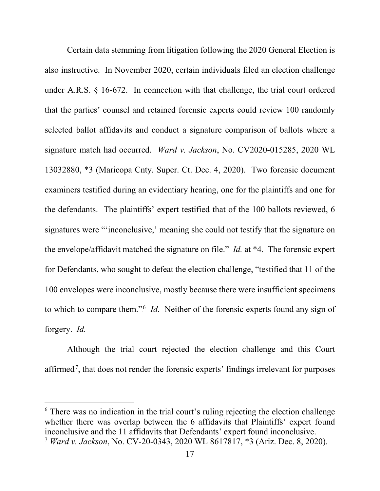Certain data stemming from litigation following the 2020 General Election is also instructive. In November 2020, certain individuals filed an election challenge under A.R.S. § 16-672. In connection with that challenge, the trial court ordered that the parties' counsel and retained forensic experts could review 100 randomly selected ballot affidavits and conduct a signature comparison of ballots where a signature match had occurred. *Ward v. Jackson*, No. CV2020-015285, 2020 WL 13032880, \*3 (Maricopa Cnty. Super. Ct. Dec. 4, 2020). Two forensic document examiners testified during an evidentiary hearing, one for the plaintiffs and one for the defendants. The plaintiffs' expert testified that of the 100 ballots reviewed, 6 signatures were "'inconclusive,' meaning she could not testify that the signature on the envelope/affidavit matched the signature on file." *Id.* at \*4. The forensic expert for Defendants, who sought to defeat the election challenge, "testified that 11 of the 100 envelopes were inconclusive, mostly because there were insufficient specimens to which to compare them."<sup>6</sup> *Id.* Neither of the forensic experts found any sign of forgery. *Id.*

Although the trial court rejected the election challenge and this Court affirmed<sup>7</sup>, that does not render the forensic experts' findings irrelevant for purposes

 6 There was no indication in the trial court's ruling rejecting the election challenge whether there was overlap between the 6 affidavits that Plaintiffs' expert found inconclusive and the 11 affidavits that Defendants' expert found inconclusive.

<sup>7</sup> *Ward v. Jackson*, No. CV-20-0343, 2020 WL 8617817, \*3 (Ariz. Dec. 8, 2020).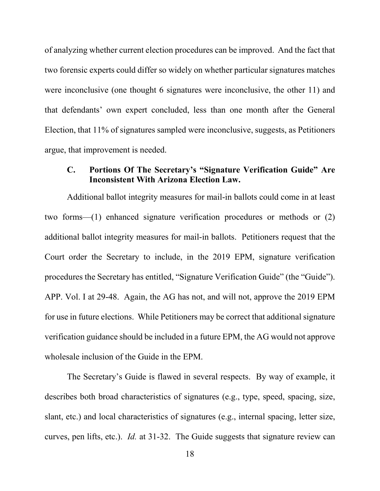of analyzing whether current election procedures can be improved. And the fact that two forensic experts could differ so widely on whether particular signatures matches were inconclusive (one thought 6 signatures were inconclusive, the other 11) and that defendants' own expert concluded, less than one month after the General Election, that 11% of signatures sampled were inconclusive, suggests, as Petitioners argue, that improvement is needed.

### **C. Portions Of The Secretary's "Signature Verification Guide" Are Inconsistent With Arizona Election Law.**

Additional ballot integrity measures for mail-in ballots could come in at least two forms—(1) enhanced signature verification procedures or methods or (2) additional ballot integrity measures for mail-in ballots. Petitioners request that the Court order the Secretary to include, in the 2019 EPM, signature verification procedures the Secretary has entitled, "Signature Verification Guide" (the "Guide"). APP. Vol. I at 29-48. Again, the AG has not, and will not, approve the 2019 EPM for use in future elections. While Petitioners may be correct that additional signature verification guidance should be included in a future EPM, the AG would not approve wholesale inclusion of the Guide in the EPM.

The Secretary's Guide is flawed in several respects. By way of example, it describes both broad characteristics of signatures (e.g., type, speed, spacing, size, slant, etc.) and local characteristics of signatures (e.g., internal spacing, letter size, curves, pen lifts, etc.). *Id.* at 31-32. The Guide suggests that signature review can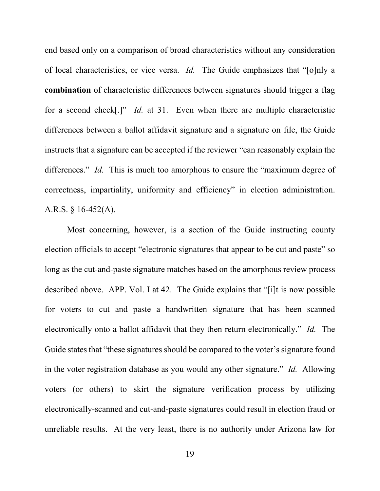end based only on a comparison of broad characteristics without any consideration of local characteristics, or vice versa. *Id.* The Guide emphasizes that "[o]nly a **combination** of characteristic differences between signatures should trigger a flag for a second check[.]" *Id.* at 31. Even when there are multiple characteristic differences between a ballot affidavit signature and a signature on file, the Guide instructs that a signature can be accepted if the reviewer "can reasonably explain the differences." *Id.* This is much too amorphous to ensure the "maximum degree of correctness, impartiality, uniformity and efficiency" in election administration. A.R.S. § 16-452(A).

Most concerning, however, is a section of the Guide instructing county election officials to accept "electronic signatures that appear to be cut and paste" so long as the cut-and-paste signature matches based on the amorphous review process described above. APP. Vol. I at 42. The Guide explains that "[i]t is now possible for voters to cut and paste a handwritten signature that has been scanned electronically onto a ballot affidavit that they then return electronically." *Id.* The Guide states that "these signatures should be compared to the voter's signature found in the voter registration database as you would any other signature." *Id.* Allowing voters (or others) to skirt the signature verification process by utilizing electronically-scanned and cut-and-paste signatures could result in election fraud or unreliable results. At the very least, there is no authority under Arizona law for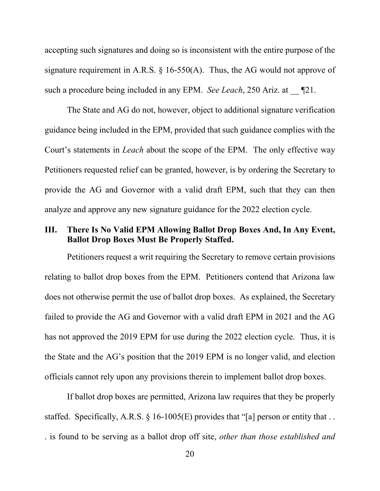accepting such signatures and doing so is inconsistent with the entire purpose of the signature requirement in A.R.S.  $\S$  16-550(A). Thus, the AG would not approve of such a procedure being included in any EPM. *See Leach*, 250 Ariz. at  $\Box$  **T**21.

The State and AG do not, however, object to additional signature verification guidance being included in the EPM, provided that such guidance complies with the Court's statements in *Leach* about the scope of the EPM. The only effective way Petitioners requested relief can be granted, however, is by ordering the Secretary to provide the AG and Governor with a valid draft EPM, such that they can then analyze and approve any new signature guidance for the 2022 election cycle.

## **III. There Is No Valid EPM Allowing Ballot Drop Boxes And, In Any Event, Ballot Drop Boxes Must Be Properly Staffed.**

Petitioners request a writ requiring the Secretary to remove certain provisions relating to ballot drop boxes from the EPM. Petitioners contend that Arizona law does not otherwise permit the use of ballot drop boxes. As explained, the Secretary failed to provide the AG and Governor with a valid draft EPM in 2021 and the AG has not approved the 2019 EPM for use during the 2022 election cycle. Thus, it is the State and the AG's position that the 2019 EPM is no longer valid, and election officials cannot rely upon any provisions therein to implement ballot drop boxes.

If ballot drop boxes are permitted, Arizona law requires that they be properly staffed. Specifically, A.R.S.  $\S$  16-1005(E) provides that "[a] person or entity that ... . is found to be serving as a ballot drop off site, *other than those established and*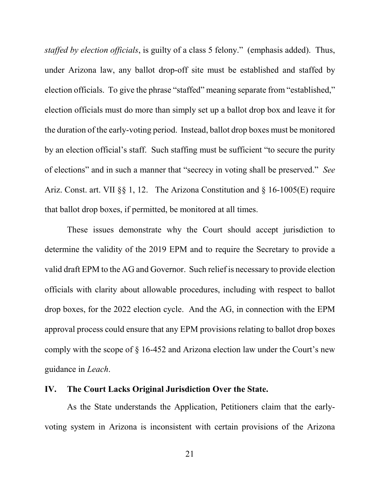*staffed by election officials*, is guilty of a class 5 felony." (emphasis added). Thus, under Arizona law, any ballot drop-off site must be established and staffed by election officials. To give the phrase "staffed" meaning separate from "established," election officials must do more than simply set up a ballot drop box and leave it for the duration of the early-voting period. Instead, ballot drop boxes must be monitored by an election official's staff. Such staffing must be sufficient "to secure the purity of elections" and in such a manner that "secrecy in voting shall be preserved." *See* Ariz. Const. art. VII §§ 1, 12. The Arizona Constitution and § 16-1005(E) require that ballot drop boxes, if permitted, be monitored at all times.

These issues demonstrate why the Court should accept jurisdiction to determine the validity of the 2019 EPM and to require the Secretary to provide a valid draft EPM to the AG and Governor. Such relief is necessary to provide election officials with clarity about allowable procedures, including with respect to ballot drop boxes, for the 2022 election cycle. And the AG, in connection with the EPM approval process could ensure that any EPM provisions relating to ballot drop boxes comply with the scope of § 16-452 and Arizona election law under the Court's new guidance in *Leach*.

#### **IV. The Court Lacks Original Jurisdiction Over the State.**

As the State understands the Application, Petitioners claim that the earlyvoting system in Arizona is inconsistent with certain provisions of the Arizona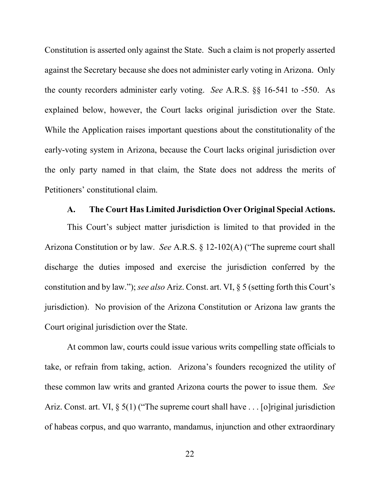Constitution is asserted only against the State. Such a claim is not properly asserted against the Secretary because she does not administer early voting in Arizona. Only the county recorders administer early voting. *See* A.R.S. §§ 16-541 to -550. As explained below, however, the Court lacks original jurisdiction over the State. While the Application raises important questions about the constitutionality of the early-voting system in Arizona, because the Court lacks original jurisdiction over the only party named in that claim, the State does not address the merits of Petitioners' constitutional claim.

#### **A. The Court Has Limited Jurisdiction Over Original Special Actions.**

This Court's subject matter jurisdiction is limited to that provided in the Arizona Constitution or by law. *See* A.R.S. § 12-102(A) ("The supreme court shall discharge the duties imposed and exercise the jurisdiction conferred by the constitution and by law."); *see also* Ariz. Const. art. VI, § 5 (setting forth this Court's jurisdiction). No provision of the Arizona Constitution or Arizona law grants the Court original jurisdiction over the State.

At common law, courts could issue various writs compelling state officials to take, or refrain from taking, action. Arizona's founders recognized the utility of these common law writs and granted Arizona courts the power to issue them. *See* Ariz. Const. art. VI, § 5(1) ("The supreme court shall have . . . [o]riginal jurisdiction of habeas corpus, and quo warranto, mandamus, injunction and other extraordinary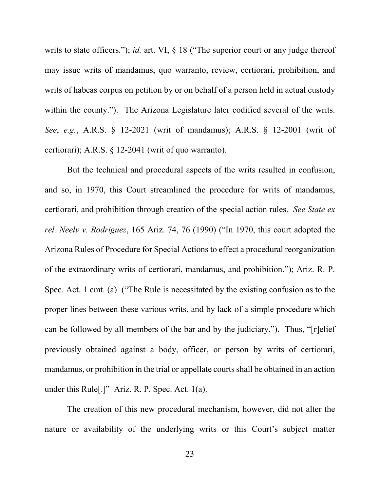writs to state officers."); *id.* art. VI, § 18 ("The superior court or any judge thereof may issue writs of mandamus, quo warranto, review, certiorari, prohibition, and writs of habeas corpus on petition by or on behalf of a person held in actual custody within the county."). The Arizona Legislature later codified several of the writs. *See*, *e.g.*, A.R.S. § 12-2021 (writ of mandamus); A.R.S. § 12-2001 (writ of certiorari); A.R.S. § 12-2041 (writ of quo warranto).

But the technical and procedural aspects of the writs resulted in confusion, and so, in 1970, this Court streamlined the procedure for writs of mandamus, certiorari, and prohibition through creation of the special action rules. *See State ex rel. Neely v. Rodriguez*, 165 Ariz. 74, 76 (1990) ("In 1970, this court adopted the Arizona Rules of Procedure for Special Actions to effect a procedural reorganization of the extraordinary writs of certiorari, mandamus, and prohibition."); Ariz. R. P. Spec. Act. 1 cmt. (a) ("The Rule is necessitated by the existing confusion as to the proper lines between these various writs, and by lack of a simple procedure which can be followed by all members of the bar and by the judiciary."). Thus, "[r]elief previously obtained against a body, officer, or person by writs of certiorari, mandamus, or prohibition in the trial or appellate courts shall be obtained in an action under this Rule[.]" Ariz. R. P. Spec. Act. 1(a).

The creation of this new procedural mechanism, however, did not alter the nature or availability of the underlying writs or this Court's subject matter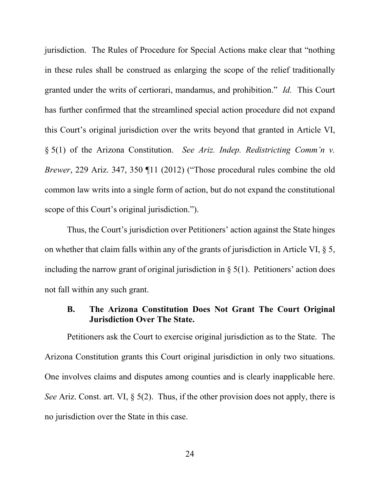jurisdiction. The Rules of Procedure for Special Actions make clear that "nothing in these rules shall be construed as enlarging the scope of the relief traditionally granted under the writs of certiorari, mandamus, and prohibition." *Id.* This Court has further confirmed that the streamlined special action procedure did not expand this Court's original jurisdiction over the writs beyond that granted in Article VI, § 5(1) of the Arizona Constitution. *See Ariz. Indep. Redistricting Comm'n v. Brewer*, 229 Ariz. 347, 350 ¶11 (2012) ("Those procedural rules combine the old common law writs into a single form of action, but do not expand the constitutional scope of this Court's original jurisdiction.").

Thus, the Court's jurisdiction over Petitioners' action against the State hinges on whether that claim falls within any of the grants of jurisdiction in Article VI, § 5, including the narrow grant of original jurisdiction in  $\S$  5(1). Petitioners' action does not fall within any such grant.

#### **B. The Arizona Constitution Does Not Grant The Court Original Jurisdiction Over The State.**

Petitioners ask the Court to exercise original jurisdiction as to the State. The Arizona Constitution grants this Court original jurisdiction in only two situations. One involves claims and disputes among counties and is clearly inapplicable here. *See* Ariz. Const. art. VI, § 5(2). Thus, if the other provision does not apply, there is no jurisdiction over the State in this case.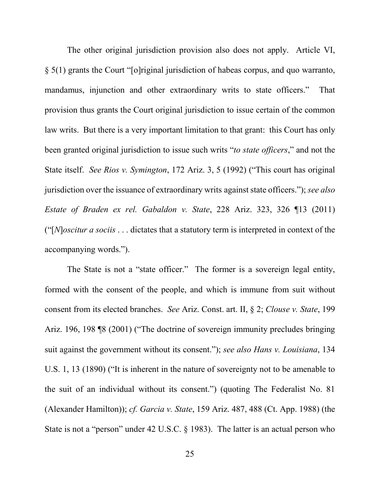The other original jurisdiction provision also does not apply. Article VI, § 5(1) grants the Court "[o]riginal jurisdiction of habeas corpus, and quo warranto, mandamus, injunction and other extraordinary writs to state officers." That provision thus grants the Court original jurisdiction to issue certain of the common law writs. But there is a very important limitation to that grant: this Court has only been granted original jurisdiction to issue such writs "*to state officers*," and not the State itself. *See Rios v. Symington*, 172 Ariz. 3, 5 (1992) ("This court has original jurisdiction over the issuance of extraordinary writs against state officers."); *see also Estate of Braden ex rel. Gabaldon v. State*, 228 Ariz. 323, 326 ¶13 (2011) ("[*N*]*oscitur a sociis* . . . dictates that a statutory term is interpreted in context of the accompanying words.").

The State is not a "state officer." The former is a sovereign legal entity, formed with the consent of the people, and which is immune from suit without consent from its elected branches. *See* Ariz. Const. art. II, § 2; *Clouse v. State*, 199 Ariz. 196, 198 ¶8 (2001) ("The doctrine of sovereign immunity precludes bringing suit against the government without its consent."); *see also Hans v. Louisiana*, 134 U.S. 1, 13 (1890) ("It is inherent in the nature of sovereignty not to be amenable to the suit of an individual without its consent.") (quoting The Federalist No. 81 (Alexander Hamilton)); *cf. Garcia v. State*, 159 Ariz. 487, 488 (Ct. App. 1988) (the State is not a "person" under 42 U.S.C. § 1983). The latter is an actual person who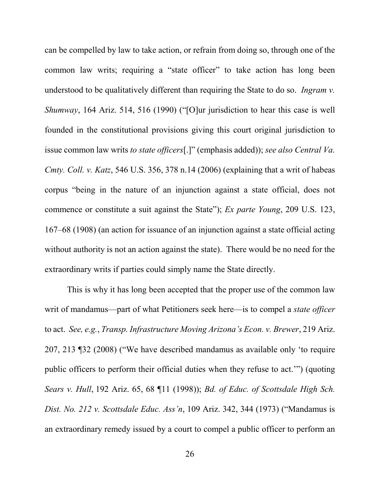can be compelled by law to take action, or refrain from doing so, through one of the common law writs; requiring a "state officer" to take action has long been understood to be qualitatively different than requiring the State to do so. *Ingram v. Shumway*, 164 Ariz. 514, 516 (1990) ("[O]ur jurisdiction to hear this case is well founded in the constitutional provisions giving this court original jurisdiction to issue common law writs *to state officers*[.]" (emphasis added)); *see also Central Va. Cmty. Coll. v. Katz*, 546 U.S. 356, 378 n.14 (2006) (explaining that a writ of habeas corpus "being in the nature of an injunction against a state official, does not commence or constitute a suit against the State"); *Ex parte Young*, 209 U.S. 123, 167–68 (1908) (an action for issuance of an injunction against a state official acting without authority is not an action against the state). There would be no need for the extraordinary writs if parties could simply name the State directly.

This is why it has long been accepted that the proper use of the common law writ of mandamus—part of what Petitioners seek here—is to compel a *state officer* to act. *See, e.g.*, *Transp. Infrastructure Moving Arizona's Econ. v. Brewer*, 219 Ariz. 207, 213 ¶32 (2008) ("We have described mandamus as available only 'to require public officers to perform their official duties when they refuse to act.'") (quoting *Sears v. Hull*, 192 Ariz. 65, 68 ¶11 (1998)); *Bd. of Educ. of Scottsdale High Sch. Dist. No. 212 v. Scottsdale Educ. Ass'n*, 109 Ariz. 342, 344 (1973) ("Mandamus is an extraordinary remedy issued by a court to compel a public officer to perform an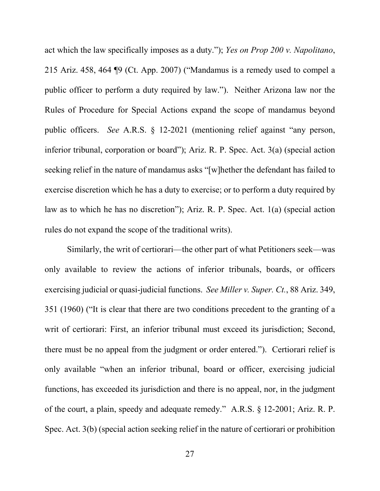act which the law specifically imposes as a duty."); *Yes on Prop 200 v. Napolitano*, 215 Ariz. 458, 464 ¶9 (Ct. App. 2007) ("Mandamus is a remedy used to compel a public officer to perform a duty required by law."). Neither Arizona law nor the Rules of Procedure for Special Actions expand the scope of mandamus beyond public officers. *See* A.R.S. § 12-2021 (mentioning relief against "any person, inferior tribunal, corporation or board"); Ariz. R. P. Spec. Act. 3(a) (special action seeking relief in the nature of mandamus asks "[w]hether the defendant has failed to exercise discretion which he has a duty to exercise; or to perform a duty required by law as to which he has no discretion"); Ariz. R. P. Spec. Act. 1(a) (special action rules do not expand the scope of the traditional writs).

Similarly, the writ of certiorari—the other part of what Petitioners seek—was only available to review the actions of inferior tribunals, boards, or officers exercising judicial or quasi-judicial functions. *See Miller v. Super. Ct.*, 88 Ariz. 349, 351 (1960) ("It is clear that there are two conditions precedent to the granting of a writ of certiorari: First, an inferior tribunal must exceed its jurisdiction; Second, there must be no appeal from the judgment or order entered."). Certiorari relief is only available "when an inferior tribunal, board or officer, exercising judicial functions, has exceeded its jurisdiction and there is no appeal, nor, in the judgment of the court, a plain, speedy and adequate remedy." A.R.S. § 12-2001; Ariz. R. P. Spec. Act. 3(b) (special action seeking relief in the nature of certiorari or prohibition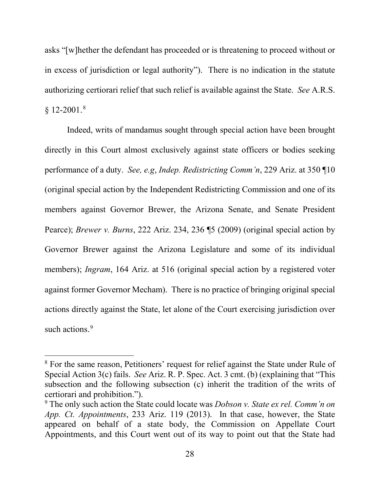asks "[w]hether the defendant has proceeded or is threatening to proceed without or in excess of jurisdiction or legal authority"). There is no indication in the statute authorizing certiorari relief that such relief is available against the State. *See* A.R.S.  $§ 12-2001.^8$ 

Indeed, writs of mandamus sought through special action have been brought directly in this Court almost exclusively against state officers or bodies seeking performance of a duty. *See, e.g*, *Indep. Redistricting Comm'n*, 229 Ariz. at 350 ¶10 (original special action by the Independent Redistricting Commission and one of its members against Governor Brewer, the Arizona Senate, and Senate President Pearce); *Brewer v. Burns*, 222 Ariz. 234, 236 ¶5 (2009) (original special action by Governor Brewer against the Arizona Legislature and some of its individual members); *Ingram*, 164 Ariz. at 516 (original special action by a registered voter against former Governor Mecham). There is no practice of bringing original special actions directly against the State, let alone of the Court exercising jurisdiction over such actions.<sup>9</sup>

<sup>&</sup>lt;sup>8</sup> For the same reason, Petitioners' request for relief against the State under Rule of Special Action 3(c) fails. *See* Ariz. R. P. Spec. Act. 3 cmt. (b) (explaining that "This subsection and the following subsection (c) inherit the tradition of the writs of certiorari and prohibition.").

<sup>9</sup> The only such action the State could locate was *Dobson v. State ex rel. Comm'n on App. Ct. Appointments*, 233 Ariz. 119 (2013). In that case, however, the State appeared on behalf of a state body, the Commission on Appellate Court Appointments, and this Court went out of its way to point out that the State had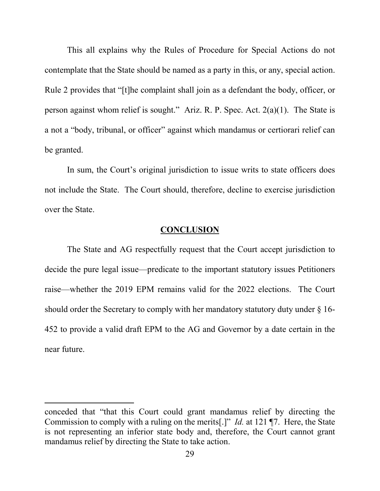This all explains why the Rules of Procedure for Special Actions do not contemplate that the State should be named as a party in this, or any, special action. Rule 2 provides that "[t]he complaint shall join as a defendant the body, officer, or person against whom relief is sought." Ariz. R. P. Spec. Act. 2(a)(1). The State is a not a "body, tribunal, or officer" against which mandamus or certiorari relief can be granted.

In sum, the Court's original jurisdiction to issue writs to state officers does not include the State. The Court should, therefore, decline to exercise jurisdiction over the State.

#### **CONCLUSION**

The State and AG respectfully request that the Court accept jurisdiction to decide the pure legal issue—predicate to the important statutory issues Petitioners raise—whether the 2019 EPM remains valid for the 2022 elections. The Court should order the Secretary to comply with her mandatory statutory duty under § 16- 452 to provide a valid draft EPM to the AG and Governor by a date certain in the near future.

 $\overline{a}$ 

conceded that "that this Court could grant mandamus relief by directing the Commission to comply with a ruling on the merits[.]" *Id.* at 121 ¶7. Here, the State is not representing an inferior state body and, therefore, the Court cannot grant mandamus relief by directing the State to take action.